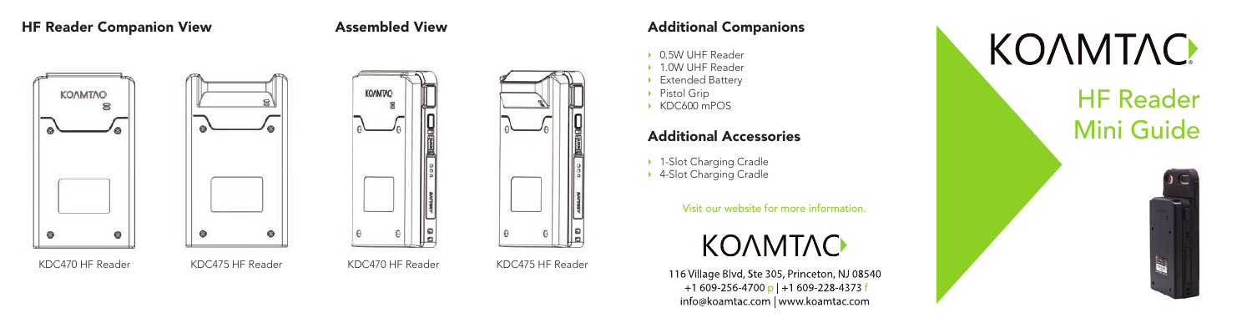#### HF Reader Companion View Assembled View Additional Companions









- 
- 0.5W UHF Reader • 1.0W UHF Reader **Extended Battery** • Pistol Grip • KDC600 mPOS

#### Additional Accessories

▶ 1-Slot Charging Cradle • 4-Slot Charging Cradle

#### Visit our website for more information.

## **KOAMTAC**

116 Village Blvd, Ste 305, Princeton, NJ 08540 +1 609-256-4700 p +1 609-228-4373 f info@koamtac.com | www.koamtac.com

# KOAMTAC<sub>2</sub> HF Reader Mini Guide